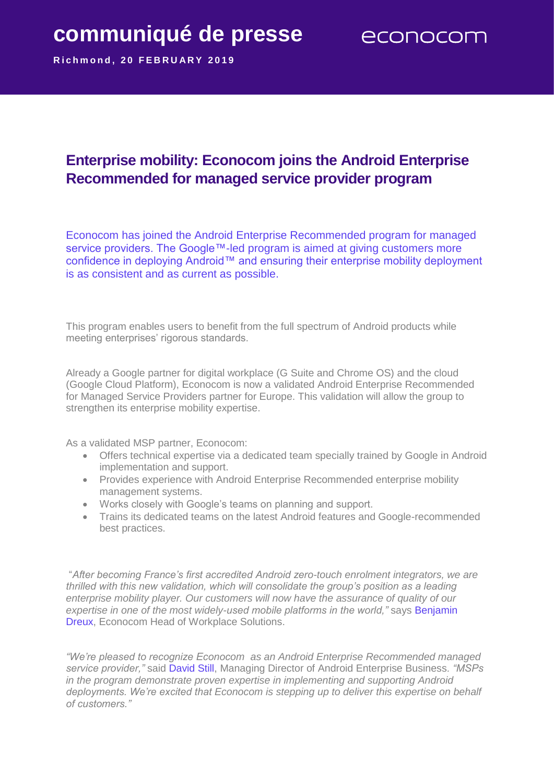## **communiqué de presse**

**R i c h m o n d , 2 0 F E B R U A R Y 2 0 1 9**

## **Enterprise mobility: Econocom joins the Android Enterprise Recommended for managed service provider program**

Econocom has joined the Android Enterprise Recommended program for managed service providers. The Google™-led program is aimed at giving customers more confidence in deploying Android™ and ensuring their enterprise mobility deployment is as consistent and as current as possible.

This program enables users to benefit from the full spectrum of Android products while meeting enterprises' rigorous standards.

Already a Google partner for digital workplace (G Suite and Chrome OS) and the cloud (Google Cloud Platform), Econocom is now a validated Android Enterprise Recommended for Managed Service Providers partner for Europe. This validation will allow the group to strengthen its enterprise mobility expertise.

As a validated MSP partner, Econocom:

- Offers technical expertise via a dedicated team specially trained by Google in Android implementation and support.
- Provides experience with Android Enterprise Recommended enterprise mobility management systems.
- Works closely with Google's teams on planning and support.
- Trains its dedicated teams on the latest Android features and Google-recommended best practices.

"*After becoming France's first accredited Android zero-touch enrolment integrators, we are thrilled with this new validation, which will consolidate the group's position as a leading enterprise mobility player. Our customers will now have the assurance of quality of our expertise in one of the most widely-used mobile platforms in the world,"* says Benjamin Dreux, Econocom Head of Workplace Solutions.

*"We're pleased to recognize Econocom as an Android Enterprise Recommended managed service provider,"* said David Still, Managing Director of Android Enterprise Business*. "MSPs in the program demonstrate proven expertise in implementing and supporting Android deployments. We're excited that Econocom is stepping up to deliver this expertise on behalf of customers."*